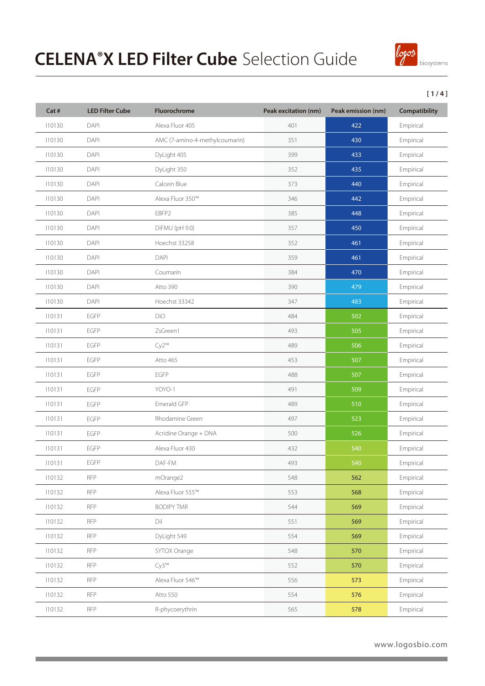

### **[ 1 / 4 ]**

| Cat #  | <b>LED Filter Cube</b> | <b>Fluorochrome</b>            | Peak excitation (nm) | Peak emission (nm) | <b>Compatibility</b> |
|--------|------------------------|--------------------------------|----------------------|--------------------|----------------------|
| 110130 | DAPI                   | Alexa Fluor 405                | 401                  | 422                | Empirical            |
| 110130 | DAPI                   | AMC (7-amino-4-methylcoumarin) | 351                  | 430                | Empirical            |
| 110130 | DAPI                   | DyLight 405                    | 399                  | 433                | Empirical            |
| 110130 | DAPI                   | DyLight 350                    | 352                  | 435                | Empirical            |
| 110130 | DAPI                   | Calcein Blue                   | 373                  | 440                | Empirical            |
| 110130 | DAPI                   | Alexa Fluor 350™               | 346                  | 442                | Empirical            |
| 110130 | DAPI                   | EBFP2                          | 385                  | 448                | Empirical            |
| 110130 | DAPI                   | DiFMU (pH 9.0)                 | 357                  | 450                | Empirical            |
| 110130 | DAPI                   | Hoechst 33258                  | 352                  | 461                | Empirical            |
| 110130 | DAPI                   | DAPI                           | 359                  | 461                | Empirical            |
| 110130 | DAPI                   | Coumarin                       | 384                  | 470                | Empirical            |
| 110130 | DAPI                   | Atto 390                       | 390                  | 479                | Empirical            |
| 110130 | DAPI                   | Hoechst 33342                  | 347                  | 483                | Empirical            |
| 110131 | EGFP                   | <b>DiO</b>                     | 484                  | 502                | Empirical            |
| 110131 | EGFP                   | ZsGreen1                       | 493                  | 505                | Empirical            |
| 110131 | EGFP                   | $Cy2^{m}$                      | 489                  | 506                | Empirical            |
| 110131 | EGFP                   | Atto 465                       | 453                  | 507                | Empirical            |
| 110131 | EGFP                   | EGFP                           | 488                  | 507                | Empirical            |
| 110131 | EGFP                   | YOYO-1                         | 491                  | 509                | Empirical            |
| 110131 | EGFP                   | Emerald GFP                    | 489                  | 510                | Empirical            |
| 110131 | EGFP                   | Rhodamine Green                | 497                  | 523                | Empirical            |
| 110131 | EGFP                   | Acridine Orange + DNA          | 500                  | 526                | Empirical            |
| 110131 | EGFP                   | Alexa Fluor 430                | 432                  | 540                | Empirical            |
| 110131 | EGFP                   | DAF-FM                         | 493                  | 540                | Empirical            |
| 110132 | <b>RFP</b>             | mOrange2                       | 548                  | 562                | Empirical            |
| 110132 | <b>RFP</b>             | Alexa Fluor 555™               | 553                  | 568                | Empirical            |
| 110132 | <b>RFP</b>             | <b>BODIPY TMR</b>              | 544                  | 569                | Empirical            |
| 110132 | <b>RFP</b>             | Dil                            | 551                  | 569                | Empirical            |
| 110132 | <b>RFP</b>             | DyLight 549                    | 554                  | 569                | Empirical            |
| 110132 | <b>RFP</b>             | SYTOX Orange                   | 548                  | 570                | Empirical            |
| 110132 | <b>RFP</b>             | $Cy3^{m}$                      | 552                  | 570                | Empirical            |
| 110132 | <b>RFP</b>             | Alexa Fluor 546™               | 556                  | 573                | Empirical            |
| 110132 | <b>RFP</b>             | Atto 550                       | 554                  | 576                | Empirical            |
| 110132 | <b>RFP</b>             | R-phycoerythrin                | 565                  | 578                | Empirical            |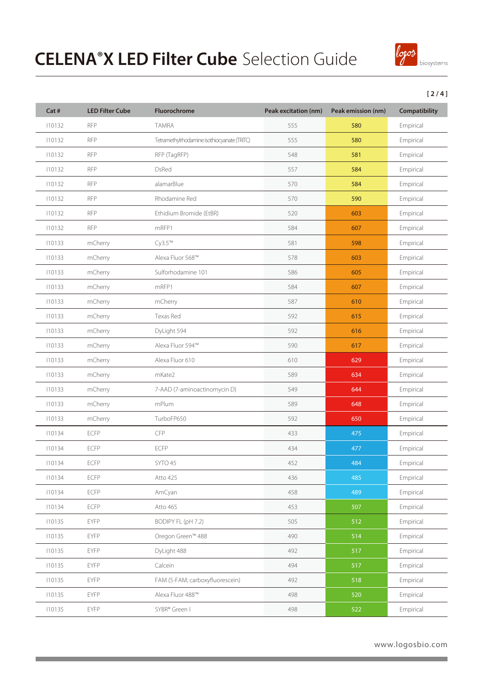

#### **[ 2 / 4 ]**

| Cat #  | <b>LED Filter Cube</b> | Fluorochrome                                | Peak excitation (nm) | Peak emission (nm) | Compatibility |
|--------|------------------------|---------------------------------------------|----------------------|--------------------|---------------|
| 110132 | <b>RFP</b>             | <b>TAMRA</b>                                | 555                  | 580                | Empirical     |
| 110132 | <b>RFP</b>             | Tetramethylrhodamine isothiocyanate (TRITC) | 555                  | 580                | Empirical     |
| 110132 | <b>RFP</b>             | RFP (TagRFP)                                | 548                  | 581                | Empirical     |
| 110132 | <b>RFP</b>             | <b>DsRed</b>                                | 557                  | 584                | Empirical     |
| 110132 | <b>RFP</b>             | alamarBlue                                  | 570                  | 584                | Empirical     |
| 110132 | <b>RFP</b>             | Rhodamine Red                               | 570                  | 590                | Empirical     |
| 110132 | <b>RFP</b>             | Ethidium Bromide (EtBR)                     | 520                  | 603                | Empirical     |
| 110132 | <b>RFP</b>             | mRFP1                                       | 584                  | 607                | Empirical     |
| 110133 | mCherry                | Cy3.5 <sup>TM</sup>                         | 581                  | 598                | Empirical     |
| 110133 | mCherry                | Alexa Fluor 568™                            | 578                  | 603                | Empirical     |
| 110133 | mCherry                | Sulforhodamine 101                          | 586                  | 605                | Empirical     |
| 110133 | mCherry                | mRFP1                                       | 584                  | 607                | Empirical     |
| 110133 | mCherry                | mCherry                                     | 587                  | 610                | Empirical     |
| 110133 | mCherry                | Texas Red                                   | 592                  | 615                | Empirical     |
| 110133 | mCherry                | DyLight 594                                 | 592                  | 616                | Empirical     |
| 110133 | mCherry                | Alexa Fluor 594™                            | 590                  | 617                | Empirical     |
| 110133 | mCherry                | Alexa Fluor 610                             | 610                  | 629                | Empirical     |
| 110133 | mCherry                | mKate2                                      | 589                  | 634                | Empirical     |
| 110133 | mCherry                | 7-AAD (7-aminoactinomycin D)                | 549                  | 644                | Empirical     |
| 110133 | mCherry                | mPlum                                       | 589                  | 648                | Empirical     |
| 110133 | mCherry                | TurboFP650                                  | 592                  | 650                | Empirical     |
| 110134 | ECFP                   | <b>CFP</b>                                  | 433                  | 475                | Empirical     |
| 110134 | ECFP                   | <b>ECFP</b>                                 | 434                  | 477                | Empirical     |
| 110134 | ECFP                   | SYTO 45                                     | 452                  | 484                | Empirical     |
| 110134 | ECFP                   | Atto 425                                    | 436                  | 485                | Empirical     |
| 110134 | ECFP                   | AmCyan                                      | 458                  | 489                | Empirical     |
| 110134 | ECFP                   | Atto 465                                    | 453                  | 507                | Empirical     |
| 110135 | EYFP                   | BODIPY FL (pH 7.2)                          | 505                  | 512                | Empirical     |
| 110135 | <b>EYFP</b>            | Oregon Green™ 488                           | 490                  | 514                | Empirical     |
| 110135 | EYFP                   | DyLight 488                                 | 492                  | 517                | Empirical     |
| 110135 | <b>EYFP</b>            | Calcein                                     | 494                  | 517                | Empirical     |
| 110135 | EYFP                   | FAM (5-FAM; carboxyfluorescein)             | 492                  | 518                | Empirical     |
| 110135 | EYFP                   | Alexa Fluor 488™                            | 498                  | 520                | Empirical     |
| 110135 | EYFP                   | SYBR® Green I                               | 498                  | 522                | Empirical     |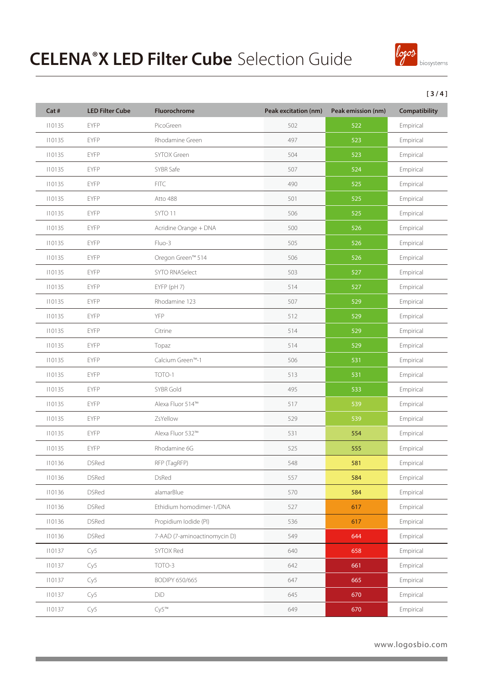

### **[ 3 / 4 ]**

| Cat #  | <b>LED Filter Cube</b> | Fluorochrome                 | Peak excitation (nm) | Peak emission (nm) | Compatibility |
|--------|------------------------|------------------------------|----------------------|--------------------|---------------|
| 110135 | EYFP                   | PicoGreen                    | 502                  | 522                | Empirical     |
| 110135 | EYFP                   | Rhodamine Green              | 497                  | 523                | Empirical     |
| 110135 | <b>EYFP</b>            | SYTOX Green                  | 504                  | 523                | Empirical     |
| 110135 | EYFP                   | SYBR Safe                    | 507                  | 524                | Empirical     |
| 110135 | <b>EYFP</b>            | <b>FITC</b>                  | 490                  | 525                | Empirical     |
| 110135 | <b>EYFP</b>            | Atto 488                     | 501                  | 525                | Empirical     |
| 110135 | <b>EYFP</b>            | SYTO 11                      | 506                  | 525                | Empirical     |
| 110135 | <b>EYFP</b>            | Acridine Orange + DNA        | 500                  | 526                | Empirical     |
| 110135 | <b>EYFP</b>            | Fluo-3                       | 505                  | 526                | Empirical     |
| 110135 | <b>EYFP</b>            | Oregon Green™ 514            | 506                  | 526                | Empirical     |
| 110135 | <b>EYFP</b>            | <b>SYTO RNASelect</b>        | 503                  | 527                | Empirical     |
| 110135 | <b>EYFP</b>            | EYFP (pH 7)                  | 514                  | 527                | Empirical     |
| 110135 | <b>EYFP</b>            | Rhodamine 123                | 507                  | 529                | Empirical     |
| 110135 | <b>EYFP</b>            | YFP                          | 512                  | 529                | Empirical     |
| 110135 | <b>EYFP</b>            | Citrine                      | 514                  | 529                | Empirical     |
| 110135 | <b>EYFP</b>            | Topaz                        | 514                  | 529                | Empirical     |
| 110135 | <b>EYFP</b>            | Calcium Green <sup>™-1</sup> | 506                  | 531                | Empirical     |
| 110135 | <b>EYFP</b>            | TOTO-1                       | 513                  | 531                | Empirical     |
| 110135 | <b>EYFP</b>            | SYBR Gold                    | 495                  | 533                | Empirical     |
| 110135 | <b>EYFP</b>            | Alexa Fluor 514™             | 517                  | 539                | Empirical     |
| 110135 | <b>EYFP</b>            | ZsYellow                     | 529                  | 539                | Empirical     |
| 110135 | <b>EYFP</b>            | Alexa Fluor 532™             | 531                  | 554                | Empirical     |
| 110135 | <b>EYFP</b>            | Rhodamine 6G                 | 525                  | 555                | Empirical     |
| 110136 | <b>DSRed</b>           | RFP (TagRFP)                 | 548                  | 581                | Empirical     |
| 110136 | <b>DSRed</b>           | DsRed                        | 557                  | 584                | Empirical     |
| 110136 | <b>DSRed</b>           | alamarBlue                   | 570                  | 584                | Empirical     |
| 110136 | <b>DSRed</b>           | Ethidium homodimer-1/DNA     | 527                  | 617                | Empirical     |
| 110136 | <b>DSRed</b>           | Propidium Iodide (PI)        | 536                  | 617                | Empirical     |
| 110136 | <b>DSRed</b>           | 7-AAD (7-aminoactinomycin D) | 549                  | 644                | Empirical     |
| 110137 | Cy5                    | SYTOX Red                    | 640                  | 658                | Empirical     |
| 110137 | Cy5                    | TOTO-3                       | 642                  | 661                | Empirical     |
| 110137 | Cy5                    | BODIPY 650/665               | 647                  | 665                | Empirical     |
| 110137 | Cy5                    | DiD                          | 645                  | 670                | Empirical     |
| 110137 | Cy5                    | $Cy5^{m}$                    | 649                  | 670                | Empirical     |